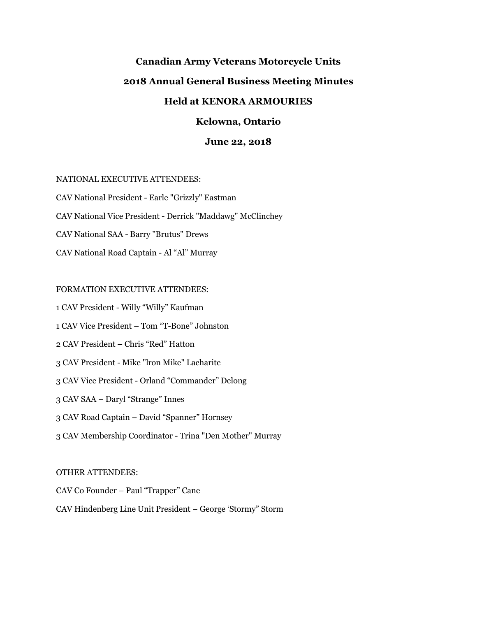# **Canadian Army Veterans Motorcycle Units 2018 Annual General Business Meeting Minutes Held at KENORA ARMOURIES**

# **Kelowna, Ontario**

## **June 22, 2018**

#### NATIONAL EXECUTIVE ATTENDEES:

CAV National President - Earle "Grizzly" Eastman CAV National Vice President - Derrick "Maddawg" McClinchey CAV National SAA - Barry "Brutus" Drews CAV National Road Captain - Al "Al" Murray

#### FORMATION EXECUTIVE ATTENDEES:

1 CAV President - Willy "Willy" Kaufman

1 CAV Vice President – Tom "T-Bone" Johnston

2 CAV President – Chris "Red" Hatton

3 CAV President - Mike "lron Mike" Lacharite

3 CAV Vice President - Orland "Commander" Delong

3 CAV SAA – Daryl "Strange" Innes

3 CAV Road Captain – David "Spanner" Hornsey

3 CAV Membership Coordinator - Trina "Den Mother" Murray

## OTHER ATTENDEES:

CAV Co Founder – Paul "Trapper" Cane

CAV Hindenberg Line Unit President – George 'Stormy" Storm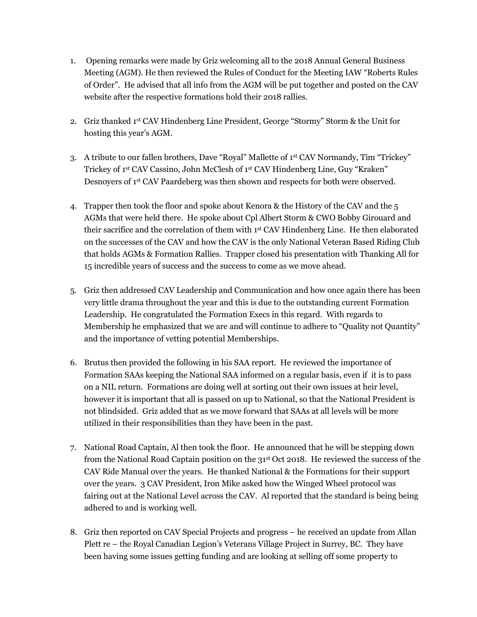- 1. Opening remarks were made by Griz welcoming all to the 2018 Annual General Business Meeting (AGM). He then reviewed the Rules of Conduct for the Meeting IAW "Roberts Rules of Order". He advised that all info from the AGM will be put together and posted on the CAV website after the respective formations hold their 2018 rallies.
- 2. Griz thanked  $1<sup>st</sup>$  CAV Hindenberg Line President, George "Stormy" Storm & the Unit for hosting this year's AGM.
- 3. A tribute to our fallen brothers, Dave "Royal" Mallette of 1 st CAV Normandy, Tim "Trickey" Trickey of 1st CAV Cassino, John McClesh of 1st CAV Hindenberg Line, Guy "Kraken" Desnoyers of 1st CAV Paardeberg was then shown and respects for both were observed.
- 4. Trapper then took the floor and spoke about Kenora & the History of the CAV and the 5 AGMs that were held there. He spoke about Cpl Albert Storm & CWO Bobby Girouard and their sacrifice and the correlation of them with 1<sup>st</sup> CAV Hindenberg Line. He then elaborated on the successes of the CAV and how the CAV is the only National Veteran Based Riding Club that holds AGMs & Formation Rallies. Trapper closed his presentation with Thanking All for 15 incredible years of success and the success to come as we move ahead.
- 5. Griz then addressed CAV Leadership and Communication and how once again there has been very little drama throughout the year and this is due to the outstanding current Formation Leadership. He congratulated the Formation Execs in this regard. With regards to Membership he emphasized that we are and will continue to adhere to "Quality not Quantity" and the importance of vetting potential Memberships.
- 6. Brutus then provided the following in his SAA report. He reviewed the importance of Formation SAAs keeping the National SAA informed on a regular basis, even if it is to pass on a NIL return. Formations are doing well at sorting out their own issues at heir level, however it is important that all is passed on up to National, so that the National President is not blindsided. Griz added that as we move forward that SAAs at all levels will be more utilized in their responsibilities than they have been in the past.
- 7. National Road Captain, Al then took the floor. He announced that he will be stepping down from the National Road Captain position on the 31st Oct 2018. He reviewed the success of the CAV Ride Manual over the years. He thanked National & the Formations for their support over the years. 3 CAV President, Iron Mike asked how the Winged Wheel protocol was fairing out at the National Level across the CAV. Al reported that the standard is being being adhered to and is working well.
- 8. Griz then reported on CAV Special Projects and progress he received an update from Allan Plett re – the Royal Canadian Legion's Veterans Village Project in Surrey, BC. They have been having some issues getting funding and are looking at selling off some property to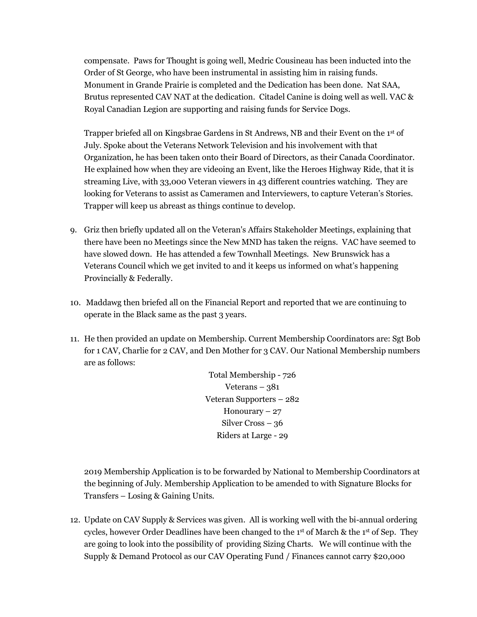compensate. Paws for Thought is going well, Medric Cousineau has been inducted into the Order of St George, who have been instrumental in assisting him in raising funds. Monument in Grande Prairie is completed and the Dedication has been done. Nat SAA, Brutus represented CAV NAT at the dedication. Citadel Canine is doing well as well. VAC & Royal Canadian Legion are supporting and raising funds for Service Dogs.

Trapper briefed all on Kingsbrae Gardens in St Andrews, NB and their Event on the 1st of July. Spoke about the Veterans Network Television and his involvement with that Organization, he has been taken onto their Board of Directors, as their Canada Coordinator. He explained how when they are videoing an Event, like the Heroes Highway Ride, that it is streaming Live, with 33,000 Veteran viewers in 43 different countries watching. They are looking for Veterans to assist as Cameramen and Interviewers, to capture Veteran's Stories. Trapper will keep us abreast as things continue to develop.

- 9. Griz then briefly updated all on the Veteran's Affairs Stakeholder Meetings, explaining that there have been no Meetings since the New MND has taken the reigns. VAC have seemed to have slowed down. He has attended a few Townhall Meetings. New Brunswick has a Veterans Council which we get invited to and it keeps us informed on what's happening Provincially & Federally.
- 10. Maddawg then briefed all on the Financial Report and reported that we are continuing to operate in the Black same as the past 3 years.
- 11. He then provided an update on Membership. Current Membership Coordinators are: Sgt Bob for 1 CAV, Charlie for 2 CAV, and Den Mother for 3 CAV. Our National Membership numbers are as follows:

Total Membership - 726 Veterans –  $381$ Veteran Supporters – 282 Honourary  $-27$ Silver Cross – 36 Riders at Large - 29

2019 Membership Application is to be forwarded by National to Membership Coordinators at the beginning of July. Membership Application to be amended to with Signature Blocks for Transfers – Losing & Gaining Units.

12. Update on CAV Supply & Services was given. All is working well with the bi-annual ordering cycles, however Order Deadlines have been changed to the 1<sup>st</sup> of March & the 1<sup>st</sup> of Sep. They are going to look into the possibility of providing Sizing Charts. We will continue with the Supply & Demand Protocol as our CAV Operating Fund / Finances cannot carry \$20,000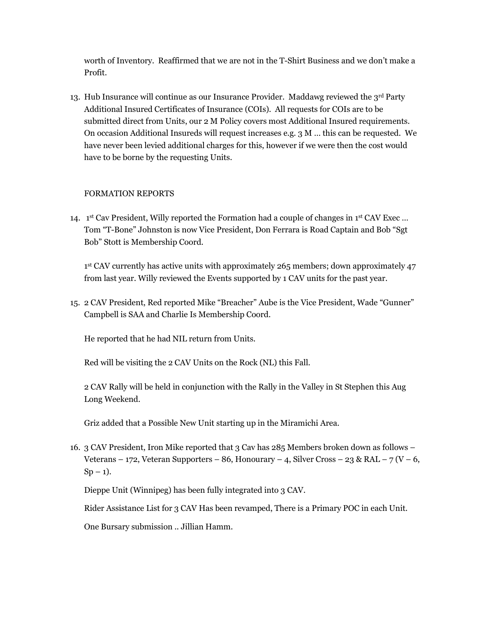worth of Inventory. Reaffirmed that we are not in the T-Shirt Business and we don't make a Profit.

13. Hub Insurance will continue as our Insurance Provider. Maddawg reviewed the  $3<sup>rd</sup>$  Party Additional Insured Certificates of Insurance (COIs). All requests for COIs are to be submitted direct from Units, our 2 M Policy covers most Additional Insured requirements. On occasion Additional Insureds will request increases e.g. 3 M … this can be requested. We have never been levied additional charges for this, however if we were then the cost would have to be borne by the requesting Units.

## FORMATION REPORTS

14. 1<sup>st</sup> Cav President, Willy reported the Formation had a couple of changes in 1<sup>st</sup> CAV Exec ... Tom "T-Bone" Johnston is now Vice President, Don Ferrara is Road Captain and Bob "Sgt Bob" Stott is Membership Coord.

1<sup>st</sup> CAV currently has active units with approximately 265 members; down approximately 47 from last year. Willy reviewed the Events supported by 1 CAV units for the past year.

15. 2 CAV President, Red reported Mike "Breacher" Aube is the Vice President, Wade "Gunner" Campbell is SAA and Charlie Is Membership Coord.

He reported that he had NIL return from Units.

Red will be visiting the 2 CAV Units on the Rock (NL) this Fall.

2 CAV Rally will be held in conjunction with the Rally in the Valley in St Stephen this Aug Long Weekend.

Griz added that a Possible New Unit starting up in the Miramichi Area.

16. 3 CAV President, Iron Mike reported that 3 Cav has 285 Members broken down as follows – Veterans – 172, Veteran Supporters – 86, Honourary – 4, Silver Cross – 23 & RAL – 7 (V – 6,  $Sp-1$ ).

Dieppe Unit (Winnipeg) has been fully integrated into 3 CAV.

Rider Assistance List for 3 CAV Has been revamped, There is a Primary POC in each Unit.

One Bursary submission .. Jillian Hamm.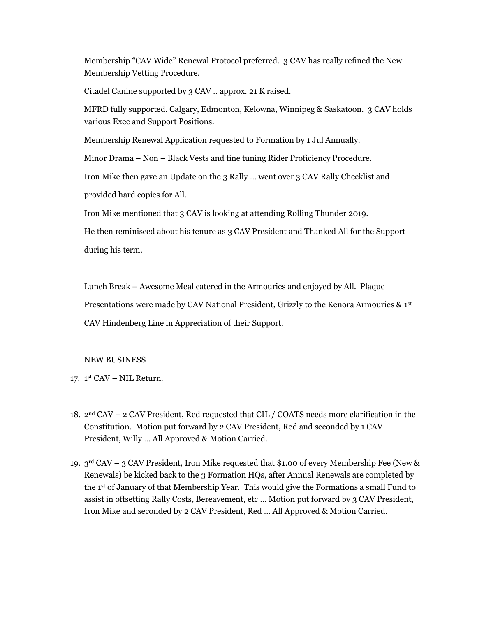Membership "CAV Wide" Renewal Protocol preferred. 3 CAV has really refined the New Membership Vetting Procedure.

Citadel Canine supported by 3 CAV .. approx. 21 K raised.

MFRD fully supported. Calgary, Edmonton, Kelowna, Winnipeg & Saskatoon. 3 CAV holds various Exec and Support Positions.

Membership Renewal Application requested to Formation by 1 Jul Annually.

Minor Drama – Non – Black Vests and fine tuning Rider Proficiency Procedure.

Iron Mike then gave an Update on the 3 Rally … went over 3 CAV Rally Checklist and

provided hard copies for All.

Iron Mike mentioned that 3 CAV is looking at attending Rolling Thunder 2019.

He then reminisced about his tenure as 3 CAV President and Thanked All for the Support during his term.

Lunch Break – Awesome Meal catered in the Armouries and enjoyed by All. Plaque Presentations were made by CAV National President, Grizzly to the Kenora Armouries &  $1<sup>st</sup>$ CAV Hindenberg Line in Appreciation of their Support.

#### NEW BUSINESS

- 17. 1 st CAV NIL Return.
- 18. 2<sup>nd</sup> CAV 2 CAV President, Red requested that CIL / COATS needs more clarification in the Constitution. Motion put forward by 2 CAV President, Red and seconded by 1 CAV President, Willy … All Approved & Motion Carried.
- 19.  $3<sup>rd</sup> CAV 3 CAV President, Iron Mike requested that $1.00 of every Membership Free (New &$ Renewals) be kicked back to the 3 Formation HQs, after Annual Renewals are completed by the 1st of January of that Membership Year. This would give the Formations a small Fund to assist in offsetting Rally Costs, Bereavement, etc … Motion put forward by 3 CAV President, Iron Mike and seconded by 2 CAV President, Red … All Approved & Motion Carried.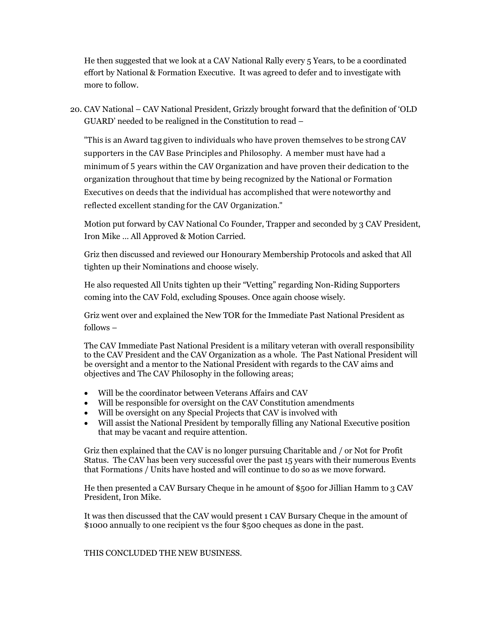He then suggested that we look at a CAV National Rally every 5 Years, to be a coordinated effort by National & Formation Executive. It was agreed to defer and to investigate with more to follow.

20. CAV National – CAV National President, Grizzly brought forward that the definition of 'OLD GUARD' needed to be realigned in the Constitution to read –

"This is an Award tag given to individuals who have proven themselves to be strong CAV supporters in the CAV Base Principles and Philosophy. A member must have had a minimum of 5 years within the CAV Organization and have proven their dedication to the organization throughout that time by being recognized by the National or Formation Executives on deeds that the individual has accomplished that were noteworthy and reflected excellent standing for the CAV Organization."

Motion put forward by CAV National Co Founder, Trapper and seconded by 3 CAV President, Iron Mike … All Approved & Motion Carried.

Griz then discussed and reviewed our Honourary Membership Protocols and asked that All tighten up their Nominations and choose wisely.

He also requested All Units tighten up their "Vetting" regarding Non-Riding Supporters coming into the CAV Fold, excluding Spouses. Once again choose wisely.

Griz went over and explained the New TOR for the Immediate Past National President as follows –

The CAV Immediate Past National President is a military veteran with overall responsibility to the CAV President and the CAV Organization as a whole. The Past National President will be oversight and a mentor to the National President with regards to the CAV aims and objectives and The CAV Philosophy in the following areas;

- Will be the coordinator between Veterans Affairs and CAV
- Will be responsible for oversight on the CAV Constitution amendments
- Will be oversight on any Special Projects that CAV is involved with
- Will assist the National President by temporally filling any National Executive position that may be vacant and require attention.

Griz then explained that the CAV is no longer pursuing Charitable and / or Not for Profit Status. The CAV has been very successful over the past 15 years with their numerous Events that Formations / Units have hosted and will continue to do so as we move forward.

He then presented a CAV Bursary Cheque in he amount of \$500 for Jillian Hamm to 3 CAV President, Iron Mike.

It was then discussed that the CAV would present 1 CAV Bursary Cheque in the amount of \$1000 annually to one recipient vs the four \$500 cheques as done in the past.

THIS CONCLUDED THE NEW BUSINESS.